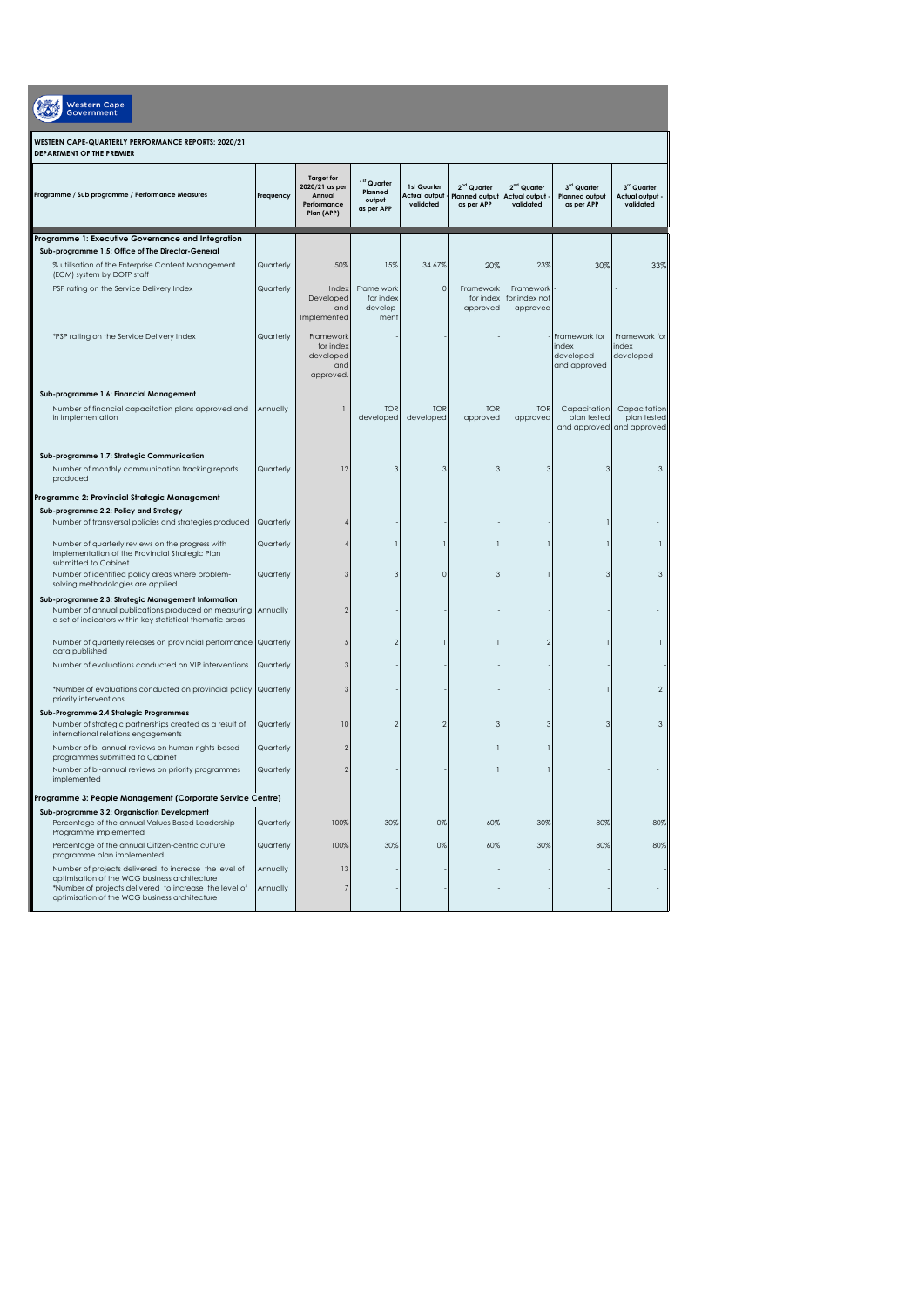| 3rd Quarter<br>Actual output -<br>validated<br>33%<br>Framework for<br>index<br>developed |
|-------------------------------------------------------------------------------------------|
|                                                                                           |
|                                                                                           |
|                                                                                           |
|                                                                                           |
|                                                                                           |
|                                                                                           |
|                                                                                           |
|                                                                                           |
| Capacitation<br>plan tested<br>and approved and approved                                  |
|                                                                                           |
| 3                                                                                         |
|                                                                                           |
|                                                                                           |
| 1                                                                                         |
| $\mathsf 3$                                                                               |
|                                                                                           |
| 1                                                                                         |
|                                                                                           |
| $\sqrt{2}$                                                                                |
| 3                                                                                         |
|                                                                                           |
|                                                                                           |
|                                                                                           |
|                                                                                           |
| 80%                                                                                       |
| 80%                                                                                       |
|                                                                                           |
|                                                                                           |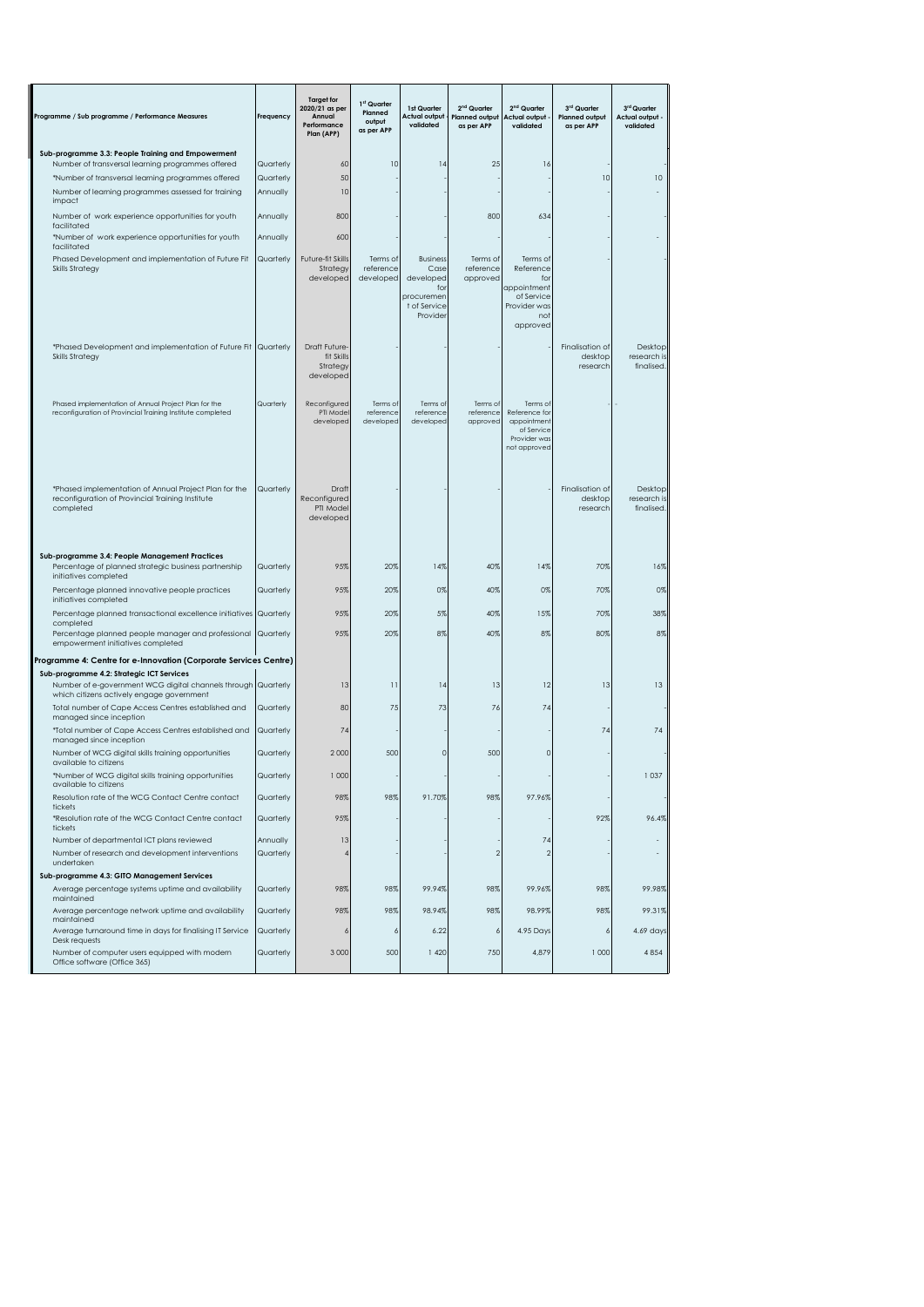| Programme / Sub programme / Performance Measures                                                          | Frequency             | <b>Target for</b><br>2020/21 as per<br>Annual<br>Performance<br>Plan (APP) | 1 <sup>st</sup> Quarter<br>Planned<br>output<br>as per APP | 1st Quarter<br>Actual output<br>validated | 2 <sup>nd</sup> Quarter<br><b>Planned output</b><br>as per APP | 2 <sup>nd</sup> Quarter<br><b>Actual output</b><br>validated | 3rd Quarter<br><b>Planned output</b><br>as per APP | 3rd Quarter<br>Actual output -<br>validated |
|-----------------------------------------------------------------------------------------------------------|-----------------------|----------------------------------------------------------------------------|------------------------------------------------------------|-------------------------------------------|----------------------------------------------------------------|--------------------------------------------------------------|----------------------------------------------------|---------------------------------------------|
| Sub-programme 3.3: People Training and Empowerment                                                        |                       |                                                                            |                                                            |                                           |                                                                |                                                              |                                                    |                                             |
| Number of transversal learning programmes offered                                                         | Quarterly             | 60<br>50                                                                   | 10                                                         | 4                                         | 25                                                             | 16                                                           |                                                    |                                             |
| *Number of transversal learning programmes offered<br>Number of learning programmes assessed for training | Quarterly<br>Annually | 10                                                                         |                                                            |                                           |                                                                |                                                              | 10                                                 | 10                                          |
| impact                                                                                                    |                       |                                                                            |                                                            |                                           |                                                                |                                                              |                                                    |                                             |
| Number of work experience opportunities for youth                                                         | Annually              | 800                                                                        |                                                            |                                           | 800                                                            | 634                                                          |                                                    |                                             |
| facilitated<br>*Number of work experience opportunities for youth<br>facilitated                          | Annually              | 600                                                                        |                                                            |                                           |                                                                |                                                              |                                                    |                                             |
| Phased Development and implementation of Future Fit                                                       | Quarterly             | Future-fit Skills                                                          | Terms of                                                   | <b>Business</b>                           | Terms of                                                       | Terms of                                                     |                                                    |                                             |
| <b>Skills Strategy</b>                                                                                    |                       | Strategy<br>developed                                                      | reference<br>developed                                     | Case<br>developed                         | reference<br>approved                                          | Reference<br>fo                                              |                                                    |                                             |
|                                                                                                           |                       |                                                                            |                                                            | for                                       |                                                                | appointment<br>of Service                                    |                                                    |                                             |
|                                                                                                           |                       |                                                                            |                                                            | procuremer<br>t of Service                |                                                                | Provider was                                                 |                                                    |                                             |
|                                                                                                           |                       |                                                                            |                                                            | Provider                                  |                                                                | not<br>approved                                              |                                                    |                                             |
|                                                                                                           |                       |                                                                            |                                                            |                                           |                                                                |                                                              |                                                    |                                             |
| *Phased Development and implementation of Future Fit Quarterly<br><b>Skills Strategy</b>                  |                       | Draft Future-<br>fit Skill:                                                |                                                            |                                           |                                                                |                                                              | Finalisation of<br>desktop                         | Desktop<br>research i                       |
|                                                                                                           |                       | Strategy<br>developed                                                      |                                                            |                                           |                                                                |                                                              | research                                           | finalised                                   |
|                                                                                                           |                       |                                                                            |                                                            |                                           |                                                                |                                                              |                                                    |                                             |
| Phased implementation of Annual Project Plan for the                                                      | Quarterly             | Reconfigured                                                               | Terms of                                                   | Terms of                                  | Terms of                                                       | Terms of                                                     |                                                    |                                             |
| reconfiguration of Provincial Training Institute completed                                                |                       | PTI Mode<br>developed                                                      | reference<br>developed                                     | reference<br>developed                    | reference<br>approved                                          | Reference fo<br>appointment                                  |                                                    |                                             |
|                                                                                                           |                       |                                                                            |                                                            |                                           |                                                                | of Service<br>Provider was                                   |                                                    |                                             |
|                                                                                                           |                       |                                                                            |                                                            |                                           |                                                                | not approved                                                 |                                                    |                                             |
|                                                                                                           |                       |                                                                            |                                                            |                                           |                                                                |                                                              |                                                    |                                             |
| *Phased implementation of Annual Project Plan for the                                                     | Quarterly             | Draft                                                                      |                                                            |                                           |                                                                |                                                              | Finalisation of                                    | Desktop                                     |
| reconfiguration of Provincial Training Institute                                                          |                       | Reconfigured                                                               |                                                            |                                           |                                                                |                                                              | desktop                                            | research is                                 |
| completed                                                                                                 |                       | PTI Mode<br>developed                                                      |                                                            |                                           |                                                                |                                                              | research                                           | finalised.                                  |
|                                                                                                           |                       |                                                                            |                                                            |                                           |                                                                |                                                              |                                                    |                                             |
| Sub-programme 3.4: People Management Practices                                                            |                       |                                                                            |                                                            |                                           |                                                                |                                                              |                                                    |                                             |
| Percentage of planned strategic business partnership                                                      | Quarterly             | 95%                                                                        | 20%                                                        | 14%                                       | 40%                                                            | 14%                                                          | 70%                                                | 16%                                         |
| initiatives completed                                                                                     |                       |                                                                            |                                                            |                                           |                                                                |                                                              |                                                    |                                             |
| Percentage planned innovative people practices<br>initiatives completed                                   | Quarterly             | 95%                                                                        | 20%                                                        | 0%                                        | 40%                                                            | 0%                                                           | 70%                                                | 0%                                          |
| Percentage planned transactional excellence initiatives                                                   | Quarterly             | 95%                                                                        | 20%                                                        | 5%                                        | 40%                                                            | 15%                                                          | 70%                                                | 38%                                         |
| completed<br>Percentage planned people manager and professional                                           | Quarterly             | 95%                                                                        | 20%                                                        | 8%                                        | 40%                                                            | 8%                                                           | 80%                                                | 8%                                          |
| empowerment initiatives completed                                                                         |                       |                                                                            |                                                            |                                           |                                                                |                                                              |                                                    |                                             |
| Programme 4: Centre for e-Innovation (Corporate Services Centre)                                          |                       |                                                                            |                                                            |                                           |                                                                |                                                              |                                                    |                                             |
| Sub-programme 4.2: Strategic ICT Services<br>Number of e-government WCG digital channels through          | Quarterly             | 13                                                                         | $\overline{\phantom{a}}$                                   | 4                                         | 13                                                             | 12                                                           | 13                                                 | 13                                          |
| which citizens actively engage government<br>Total number of Cape Access Centres established and          | Quarterly             | 80                                                                         | 75                                                         | 73                                        | 76                                                             | 74                                                           |                                                    |                                             |
| managed since inception<br>*Total number of Cape Access Centres established and                           | Quarterly             | 74                                                                         |                                                            |                                           |                                                                |                                                              | 74                                                 | 74                                          |
| managed since inception                                                                                   |                       |                                                                            |                                                            |                                           |                                                                |                                                              |                                                    |                                             |
| Number of WCG digital skills training opportunities<br>available to citizens                              | Quarterly             | 2000                                                                       | 500                                                        |                                           | 500                                                            | 0                                                            |                                                    |                                             |
| *Number of WCG digital skills training opportunities<br>available to citizens                             | Quarterly             | 1 000                                                                      |                                                            |                                           |                                                                |                                                              |                                                    | 1 0 3 7                                     |
| Resolution rate of the WCG Contact Centre contact<br>tickets                                              | Quarterly             | 98%                                                                        | 98%                                                        | 91.70%                                    | 98%                                                            | 97.96%                                                       |                                                    |                                             |
| *Resolution rate of the WCG Contact Centre contact<br>tickets                                             | Quarterly             | 95%                                                                        |                                                            |                                           |                                                                |                                                              | 92%                                                | 96.4%                                       |
| Number of departmental ICT plans reviewed                                                                 | Annually              | 13                                                                         |                                                            |                                           |                                                                | 74                                                           |                                                    |                                             |
| Number of research and development interventions                                                          | Quarterly             |                                                                            |                                                            |                                           |                                                                | 2                                                            |                                                    |                                             |
| undertaken<br>Sub-programme 4.3: GITO Management Services                                                 |                       |                                                                            |                                                            |                                           |                                                                |                                                              |                                                    |                                             |
| Average percentage systems uptime and availability                                                        | Quarterly             | 98%                                                                        | 98%                                                        | 99.94%                                    | 98%                                                            | 99.96%                                                       | 98%                                                | 99.98%                                      |
| maintained                                                                                                |                       |                                                                            |                                                            |                                           |                                                                |                                                              |                                                    |                                             |
| Average percentage network uptime and availability<br>maintained                                          | Quarterly             | 98%                                                                        | 98%                                                        | 98.94%                                    | 98%                                                            | 98.99%                                                       | 98%                                                | 99.31%                                      |
| Average turnaround time in days for finalising IT Service<br>Desk requests                                | Quarterly             |                                                                            | 6                                                          | 6.22                                      | 6                                                              | 4.95 Days                                                    | 6                                                  | 4.69 days                                   |
| Number of computer users equipped with modern                                                             | Quarterly             | 3 0 0 0                                                                    | 500                                                        | 1420                                      | 750                                                            | 4,879                                                        | 1000                                               | 4 8 5 4                                     |
| Office software (Office 365)                                                                              |                       |                                                                            |                                                            |                                           |                                                                |                                                              |                                                    |                                             |